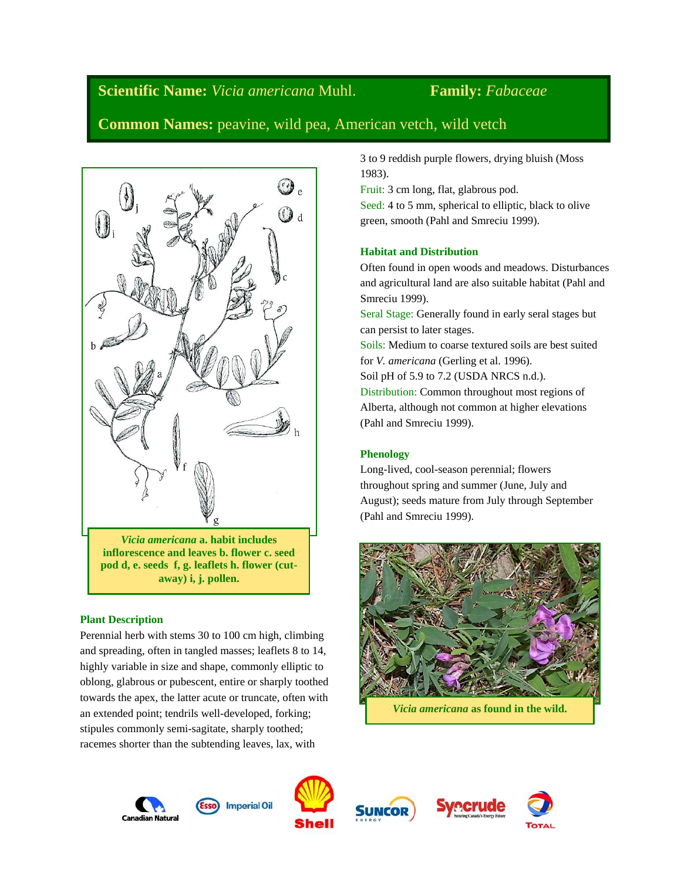# **Scientific Name:** *Vicia americana* Muhl. **Family:** *Fabaceae*

**Common Names:** peavine, wild pea, American vetch, wild vetch



*Vicia americana* **a. habit includes inflorescence and leaves b. flower c. seed pod d, e. seeds f, g. leaflets h. flower (cutaway) i, j. pollen.**

# **Plant Description**

Perennial herb with stems 30 to 100 cm high, climbing and spreading, often in tangled masses; leaflets 8 to 14, highly variable in size and shape, commonly elliptic to oblong, glabrous or pubescent, entire or sharply toothed towards the apex, the latter acute or truncate, often with an extended point; tendrils well-developed, forking; stipules commonly semi-sagitate, sharply toothed; racemes shorter than the subtending leaves, lax, with

3 to 9 reddish purple flowers, drying bluish (Moss 1983).

Fruit: 3 cm long, flat, glabrous pod.

Seed: 4 to 5 mm, spherical to elliptic, black to olive green, smooth (Pahl and Smreciu 1999).

# **Habitat and Distribution**

Often found in open woods and meadows. Disturbances and agricultural land are also suitable habitat (Pahl and Smreciu 1999).

Seral Stage: Generally found in early seral stages but can persist to later stages.

Soils: Medium to coarse textured soils are best suited for *V. americana* (Gerling et al. 1996).

Soil pH of 5.9 to 7.2 (USDA NRCS n.d.).

Distribution: Common throughout most regions of Alberta, although not common at higher elevations (Pahl and Smreciu 1999).

# **Phenology**

Long-lived, cool-season perennial; flowers throughout spring and summer (June, July and August); seeds mature from July through September (Pahl and Smreciu 1999).



*Vicia americana* **as found in the wild.**











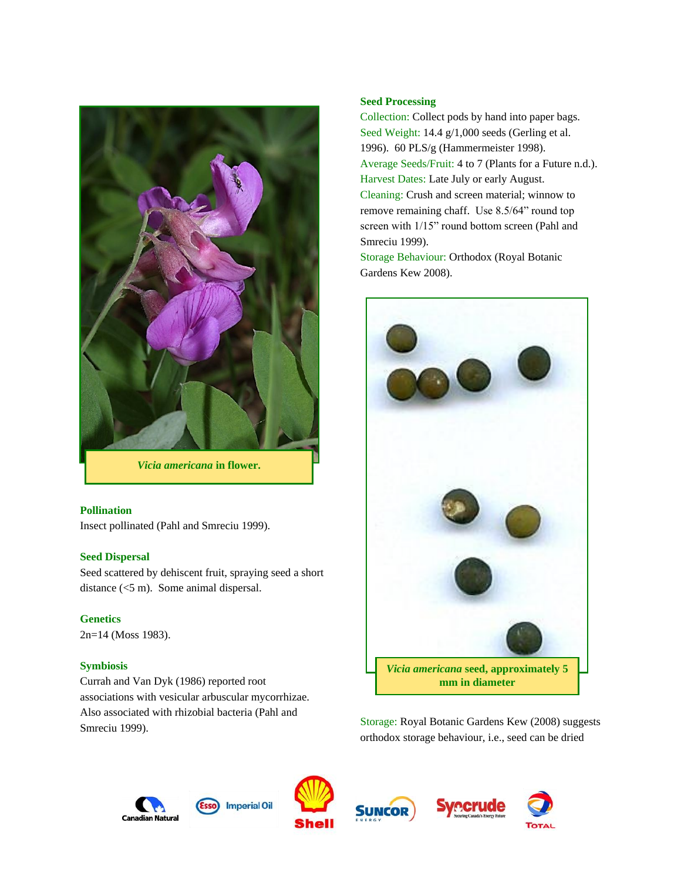

*Vicia americana* **in flower.**

# **Pollination**

Insect pollinated (Pahl and Smreciu 1999).

# **Seed Dispersal**

Seed scattered by dehiscent fruit, spraying seed a short distance (<5 m). Some animal dispersal.

## **Genetics**

2n=14 (Moss 1983).

# **Symbiosis**

Currah and Van Dyk (1986) reported root associations with vesicular arbuscular mycorrhizae. Also associated with rhizobial bacteria (Pahl and Smreciu 1999).

# **Seed Processing**

Collection: Collect pods by hand into paper bags. Seed Weight: 14.4 g/1,000 seeds (Gerling et al. 1996). 60 PLS/g (Hammermeister 1998). Average Seeds/Fruit: 4 to 7 (Plants for a Future n.d.). Harvest Dates: Late July or early August. Cleaning: Crush and screen material; winnow to remove remaining chaff. Use 8.5/64" round top screen with 1/15" round bottom screen (Pahl and Smreciu 1999).

Storage Behaviour: Orthodox (Royal Botanic Gardens Kew 2008).



Storage: Royal Botanic Gardens Kew (2008) suggests orthodox storage behaviour, i.e., seed can be dried









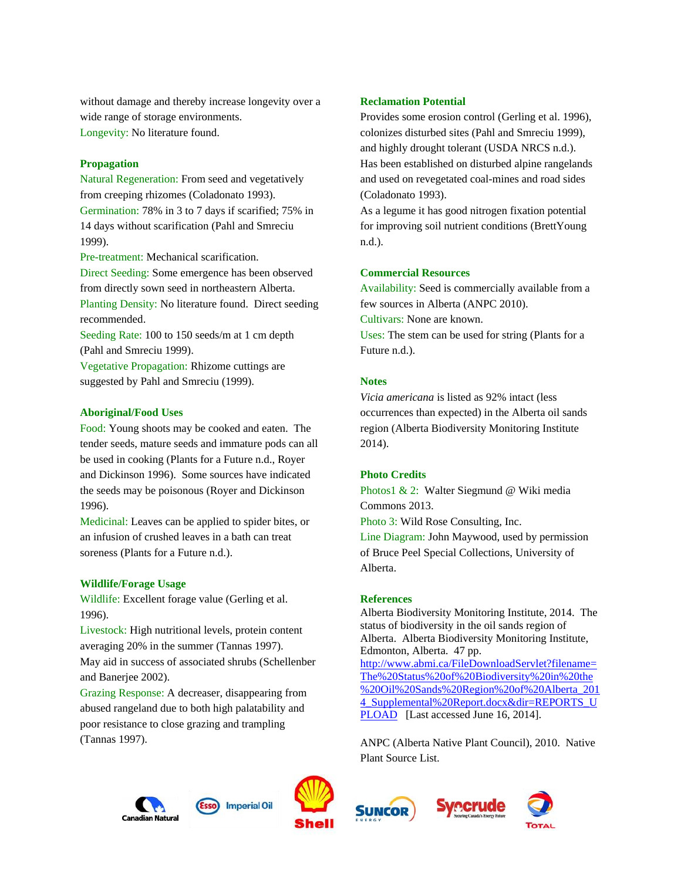without damage and thereby increase longevity over a wide range of storage environments. Longevity: No literature found.

#### **Propagation**

Natural Regeneration: From seed and vegetatively from creeping rhizomes (Coladonato 1993). Germination: 78% in 3 to 7 days if scarified; 75% in 14 days without scarification (Pahl and Smreciu 1999).

Pre-treatment: Mechanical scarification.

Direct Seeding: Some emergence has been observed from directly sown seed in northeastern Alberta. Planting Density: No literature found. Direct seeding recommended.

Seeding Rate: 100 to 150 seeds/m at 1 cm depth (Pahl and Smreciu 1999).

Vegetative Propagation: Rhizome cuttings are suggested by Pahl and Smreciu (1999).

#### **Aboriginal/Food Uses**

Food: Young shoots may be cooked and eaten. The tender seeds, mature seeds and immature pods can all be used in cooking (Plants for a Future n.d., Royer and Dickinson 1996). Some sources have indicated the seeds may be poisonous (Royer and Dickinson 1996).

Medicinal: Leaves can be applied to spider bites, or an infusion of crushed leaves in a bath can treat soreness (Plants for a Future n.d.).

#### **Wildlife/Forage Usage**

Wildlife: Excellent forage value (Gerling et al. 1996).

Livestock: High nutritional levels, protein content averaging 20% in the summer (Tannas 1997). May aid in success of associated shrubs (Schellenber and Banerjee 2002).

Grazing Response: A decreaser, disappearing from abused rangeland due to both high palatability and poor resistance to close grazing and trampling (Tannas 1997).

### **Reclamation Potential**

Provides some erosion control (Gerling et al. 1996), colonizes disturbed sites (Pahl and Smreciu 1999), and highly drought tolerant (USDA NRCS n.d.). Has been established on disturbed alpine rangelands and used on revegetated coal-mines and road sides (Coladonato 1993).

As a legume it has good nitrogen fixation potential for improving soil nutrient conditions (BrettYoung n.d.).

#### **Commercial Resources**

Availability: Seed is commercially available from a few sources in Alberta (ANPC 2010). Cultivars: None are known. Uses: The stem can be used for string (Plants for a Future n.d.).

#### **Notes**

*Vicia americana* is listed as 92% intact (less occurrences than expected) in the Alberta oil sands region (Alberta Biodiversity Monitoring Institute 2014).

#### **Photo Credits**

Photos1 & 2: Walter Siegmund @ Wiki media Commons 2013.

Photo 3: Wild Rose Consulting, Inc.

Line Diagram: John Maywood, used by permission of Bruce Peel Special Collections, University of Alberta.

### **References**

Alberta Biodiversity Monitoring Institute, 2014. The status of biodiversity in the oil sands region of Alberta. Alberta Biodiversity Monitoring Institute, Edmonton, Alberta. 47 pp. [http://www.abmi.ca/FileDownloadServlet?filename=](http://www.abmi.ca/FileDownloadServlet?filename=The%20Status%20of%20Biodiversity%20in%20the%20Oil%20Sands%20Region%20of%20Alberta_2014_Supplemental%20Report.docx&dir=REPORTS_UPLOAD) [The%20Status%20of%20Biodiversity%20in%20the](http://www.abmi.ca/FileDownloadServlet?filename=The%20Status%20of%20Biodiversity%20in%20the%20Oil%20Sands%20Region%20of%20Alberta_2014_Supplemental%20Report.docx&dir=REPORTS_UPLOAD) [%20Oil%20Sands%20Region%20of%20Alberta\\_201](http://www.abmi.ca/FileDownloadServlet?filename=The%20Status%20of%20Biodiversity%20in%20the%20Oil%20Sands%20Region%20of%20Alberta_2014_Supplemental%20Report.docx&dir=REPORTS_UPLOAD) 4 Supplemental%20Report.docx&dir=REPORTS\_U [PLOAD](http://www.abmi.ca/FileDownloadServlet?filename=The%20Status%20of%20Biodiversity%20in%20the%20Oil%20Sands%20Region%20of%20Alberta_2014_Supplemental%20Report.docx&dir=REPORTS_UPLOAD) [Last accessed June 16, 2014].

ANPC (Alberta Native Plant Council), 2010. Native Plant Source List.